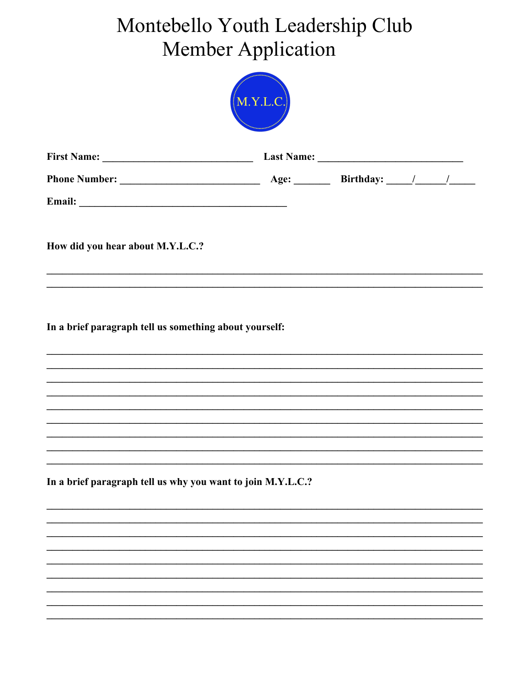## Montebello Youth Leadership Club **Member Application**



| <b>First Name:</b>   | <b>Last Name:</b> |                  |  |  |
|----------------------|-------------------|------------------|--|--|
| <b>Phone Number:</b> | Age:              | <b>Birthday:</b> |  |  |
| Email:               |                   |                  |  |  |

How did you hear about M.Y.L.C.?

In a brief paragraph tell us something about yourself:

In a brief paragraph tell us why you want to join M.Y.L.C.?